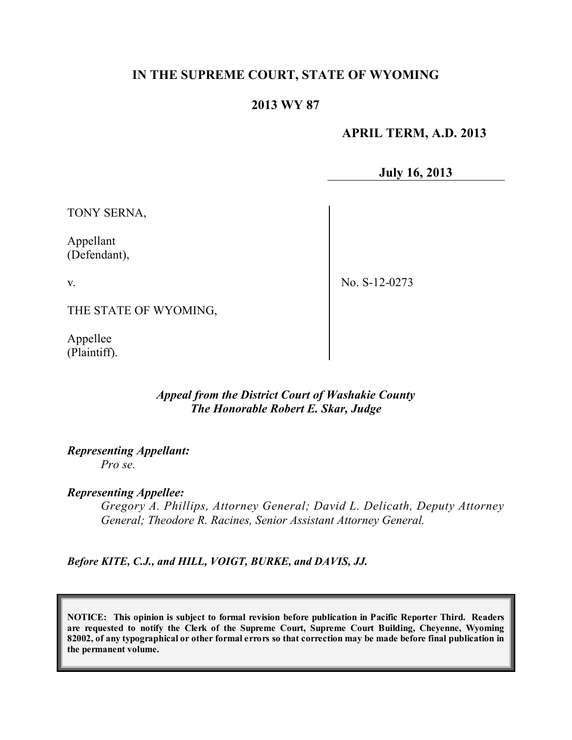## **IN THE SUPREME COURT, STATE OF WYOMING**

### **2013 WY 87**

 **APRIL TERM, A.D. 2013**

**July 16, 2013**

TONY SERNA,

Appellant (Defendant),

v.

No. S-12-0273

THE STATE OF WYOMING,

Appellee (Plaintiff).

### *Appeal from the District Court of Washakie County The Honorable Robert E. Skar, Judge*

*Representing Appellant: Pro se.*

*Representing Appellee:*

*Gregory A. Phillips, Attorney General; David L. Delicath, Deputy Attorney General; Theodore R. Racines, Senior Assistant Attorney General.*

*Before KITE, C.J., and HILL, VOIGT, BURKE, and DAVIS, JJ.*

**NOTICE: This opinion is subject to formal revision before publication in Pacific Reporter Third. Readers are requested to notify the Clerk of the Supreme Court, Supreme Court Building, Cheyenne, Wyoming** 82002, of any typographical or other formal errors so that correction may be made before final publication in **the permanent volume.**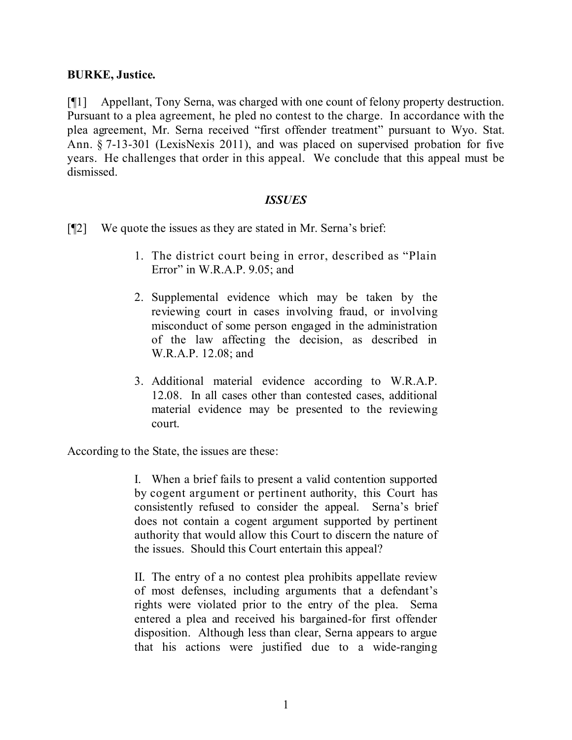### **BURKE, Justice.**

[¶1] Appellant, Tony Serna, was charged with one count of felony property destruction. Pursuant to a plea agreement, he pled no contest to the charge. In accordance with the plea agreement, Mr. Serna received "first offender treatment" pursuant to Wyo. Stat. Ann. § 7-13-301 (LexisNexis 2011), and was placed on supervised probation for five years. He challenges that order in this appeal. We conclude that this appeal must be dismissed.

### *ISSUES*

- [¶2] We quote the issues as they are stated in Mr. Serna's brief:
	- 1. The district court being in error, described as "Plain Error" in W.R.A.P. 9.05; and
	- 2. Supplemental evidence which may be taken by the reviewing court in cases involving fraud, or involving misconduct of some person engaged in the administration of the law affecting the decision, as described in W.R.A.P. 12.08; and
	- 3. Additional material evidence according to W.R.A.P. 12.08. In all cases other than contested cases, additional material evidence may be presented to the reviewing court.

According to the State, the issues are these:

I. When a brief fails to present a valid contention supported by cogent argument or pertinent authority, this Court has consistently refused to consider the appeal. Serna's brief does not contain a cogent argument supported by pertinent authority that would allow this Court to discern the nature of the issues. Should this Court entertain this appeal?

II. The entry of a no contest plea prohibits appellate review of most defenses, including arguments that a defendant's rights were violated prior to the entry of the plea. Serna entered a plea and received his bargained-for first offender disposition. Although less than clear, Serna appears to argue that his actions were justified due to a wide-ranging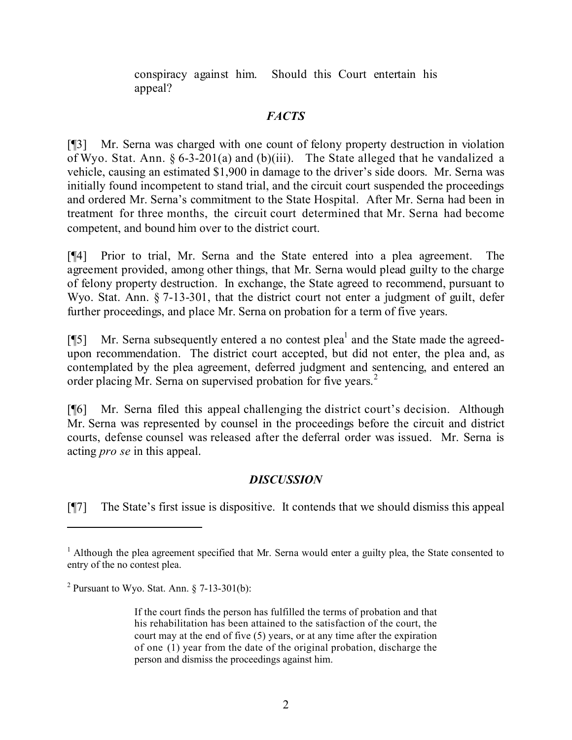conspiracy against him. Should this Court entertain his appeal?

# *FACTS*

[¶3] Mr. Serna was charged with one count of felony property destruction in violation of Wyo. Stat. Ann. § 6-3-201(a) and (b)(iii). The State alleged that he vandalized a vehicle, causing an estimated \$1,900 in damage to the driver's side doors. Mr. Serna was initially found incompetent to stand trial, and the circuit court suspended the proceedings and ordered Mr. Serna's commitment to the State Hospital. After Mr. Serna had been in treatment for three months, the circuit court determined that Mr. Serna had become competent, and bound him over to the district court.

[¶4] Prior to trial, Mr. Serna and the State entered into a plea agreement. The agreement provided, among other things, that Mr. Serna would plead guilty to the charge of felony property destruction. In exchange, the State agreed to recommend, pursuant to Wyo. Stat. Ann. § 7-13-301, that the district court not enter a judgment of guilt, defer further proceedings, and place Mr. Serna on probation for a term of five years.

[¶5] Mr. Serna subsequently entered a no contest plea<sup>1</sup> and the State made the agreedupon recommendation. The district court accepted, but did not enter, the plea and, as contemplated by the plea agreement, deferred judgment and sentencing, and entered an order placing Mr. Serna on supervised probation for five years. 2

[¶6] Mr. Serna filed this appeal challenging the district court's decision. Although Mr. Serna was represented by counsel in the proceedings before the circuit and district courts, defense counsel was released after the deferral order was issued. Mr. Serna is acting *pro se* in this appeal.

# *DISCUSSION*

[¶7] The State's first issue is dispositive. It contends that we should dismiss this appeal

<sup>&</sup>lt;sup>1</sup> Although the plea agreement specified that Mr. Serna would enter a guilty plea, the State consented to entry of the no contest plea.

<sup>&</sup>lt;sup>2</sup> Pursuant to Wyo. Stat. Ann.  $\S$  7-13-301(b):

If the court finds the person has fulfilled the terms of probation and that his rehabilitation has been attained to the satisfaction of the court, the court may at the end of five (5) years, or at any time after the expiration of one (1) year from the date of the original probation, discharge the person and dismiss the proceedings against him.